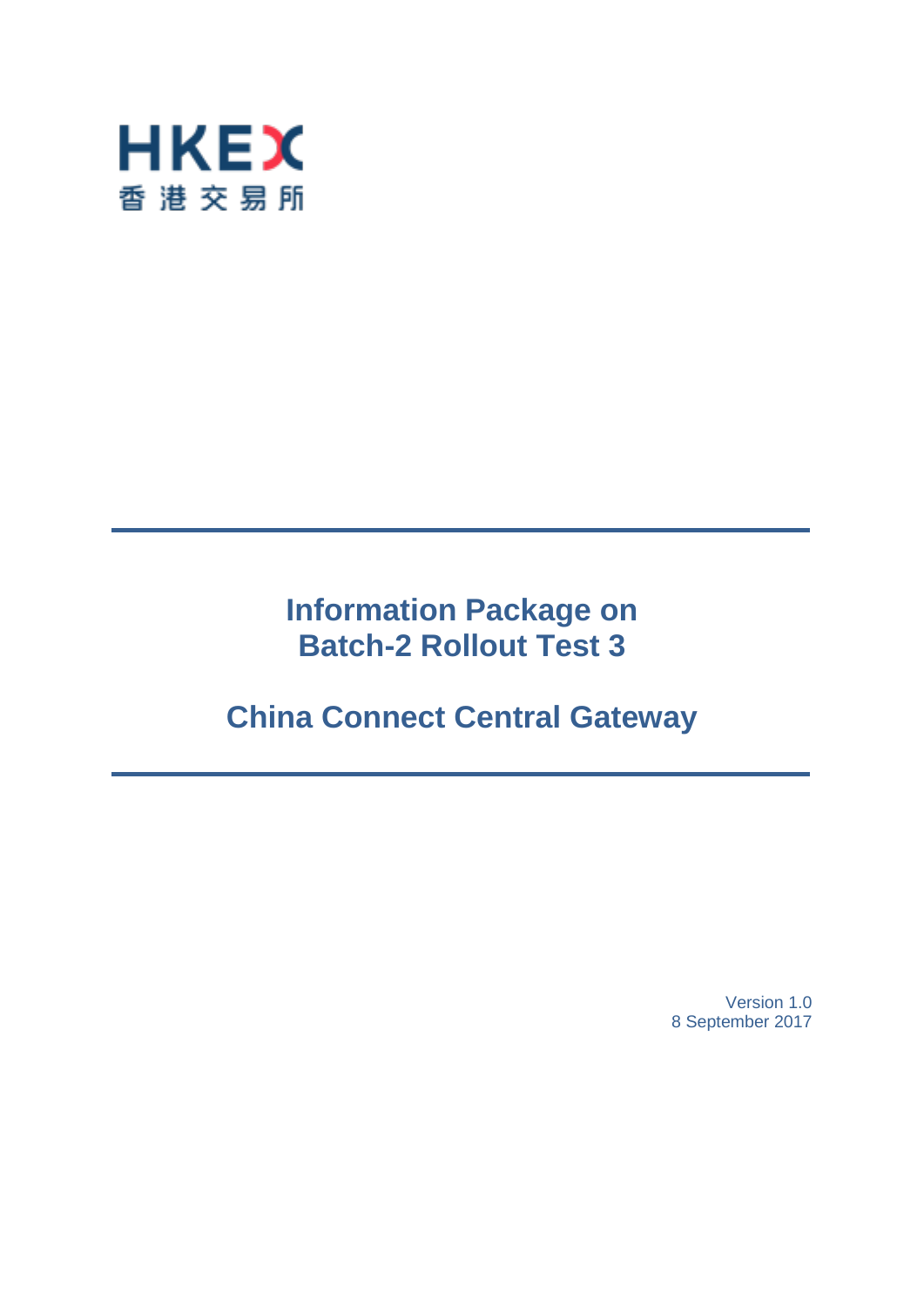

# **Information Package on Batch-2 Rollout Test 3**

# **China Connect Central Gateway**

Version 1.0 8 September 2017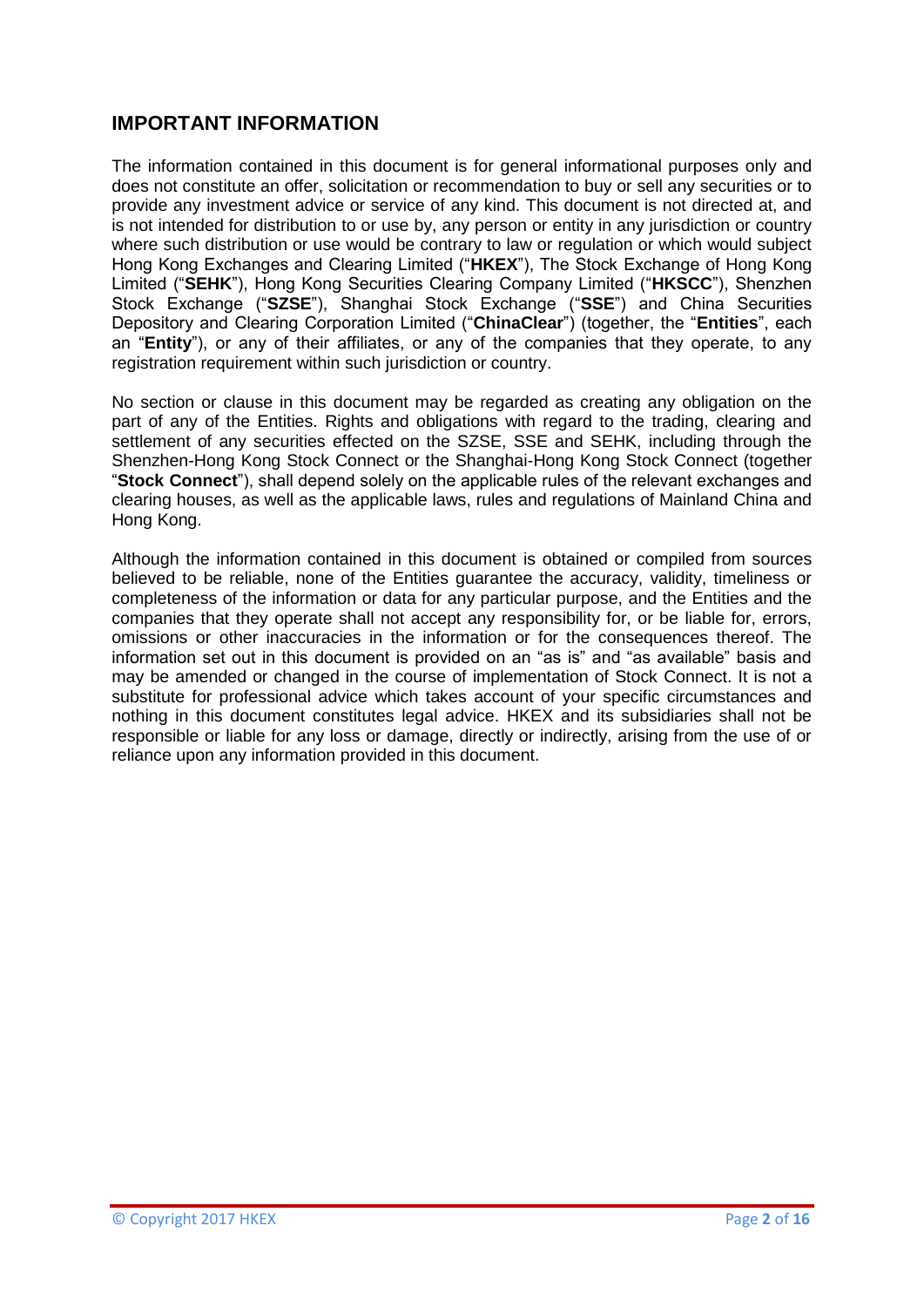## **IMPORTANT INFORMATION**

The information contained in this document is for general informational purposes only and does not constitute an offer, solicitation or recommendation to buy or sell any securities or to provide any investment advice or service of any kind. This document is not directed at, and is not intended for distribution to or use by, any person or entity in any jurisdiction or country where such distribution or use would be contrary to law or regulation or which would subject Hong Kong Exchanges and Clearing Limited ("**HKEX**"), The Stock Exchange of Hong Kong Limited ("**SEHK**"), Hong Kong Securities Clearing Company Limited ("**HKSCC**"), Shenzhen Stock Exchange ("**SZSE**"), Shanghai Stock Exchange ("**SSE**") and China Securities Depository and Clearing Corporation Limited ("**ChinaClear**") (together, the "**Entities**", each an "**Entity**"), or any of their affiliates, or any of the companies that they operate, to any registration requirement within such jurisdiction or country.

No section or clause in this document may be regarded as creating any obligation on the part of any of the Entities. Rights and obligations with regard to the trading, clearing and settlement of any securities effected on the SZSE, SSE and SEHK, including through the Shenzhen-Hong Kong Stock Connect or the Shanghai-Hong Kong Stock Connect (together "**Stock Connect**"), shall depend solely on the applicable rules of the relevant exchanges and clearing houses, as well as the applicable laws, rules and regulations of Mainland China and Hong Kong.

Although the information contained in this document is obtained or compiled from sources believed to be reliable, none of the Entities guarantee the accuracy, validity, timeliness or completeness of the information or data for any particular purpose, and the Entities and the companies that they operate shall not accept any responsibility for, or be liable for, errors, omissions or other inaccuracies in the information or for the consequences thereof. The information set out in this document is provided on an "as is" and "as available" basis and may be amended or changed in the course of implementation of Stock Connect. It is not a substitute for professional advice which takes account of your specific circumstances and nothing in this document constitutes legal advice. HKEX and its subsidiaries shall not be responsible or liable for any loss or damage, directly or indirectly, arising from the use of or reliance upon any information provided in this document.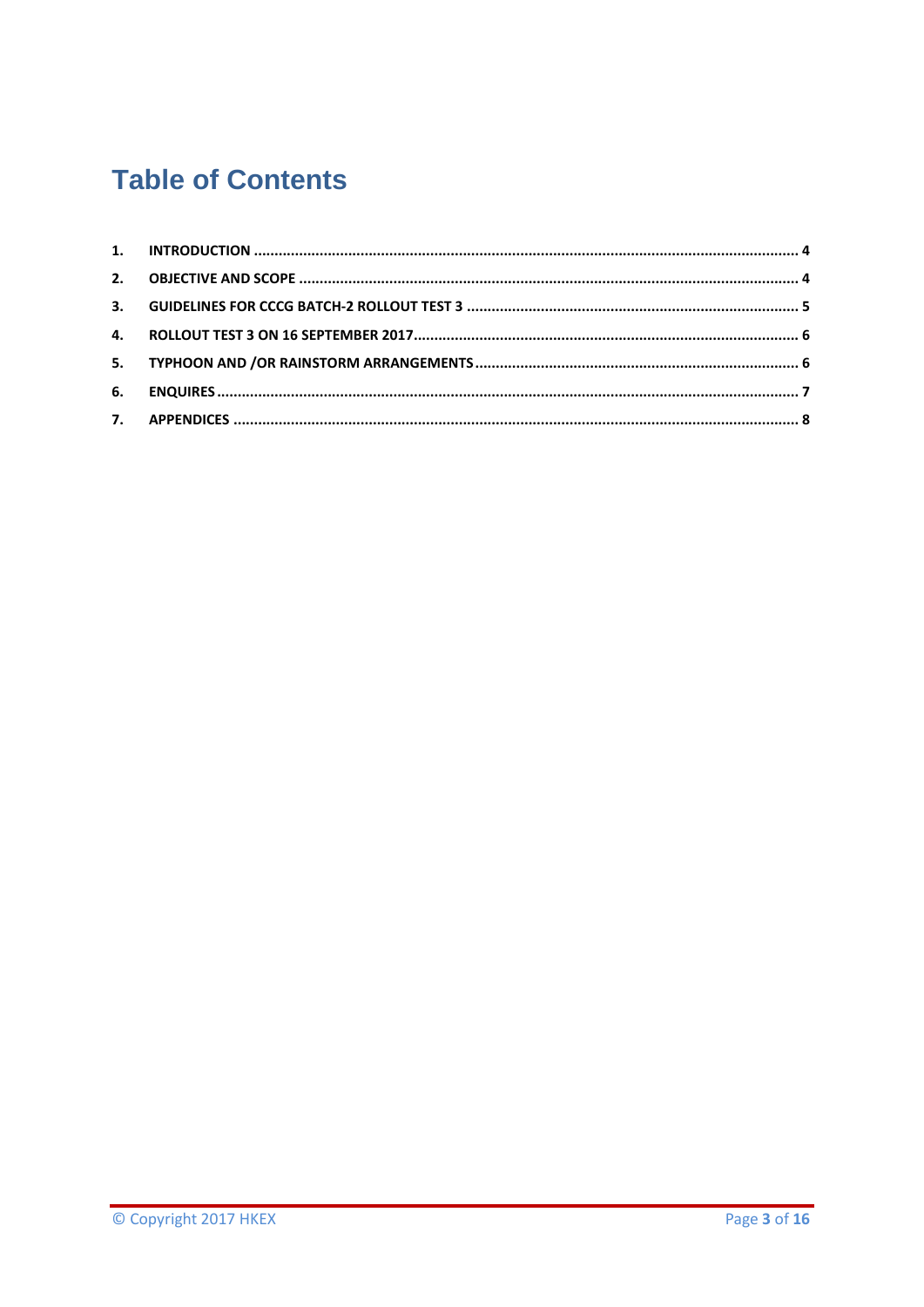# **Table of Contents**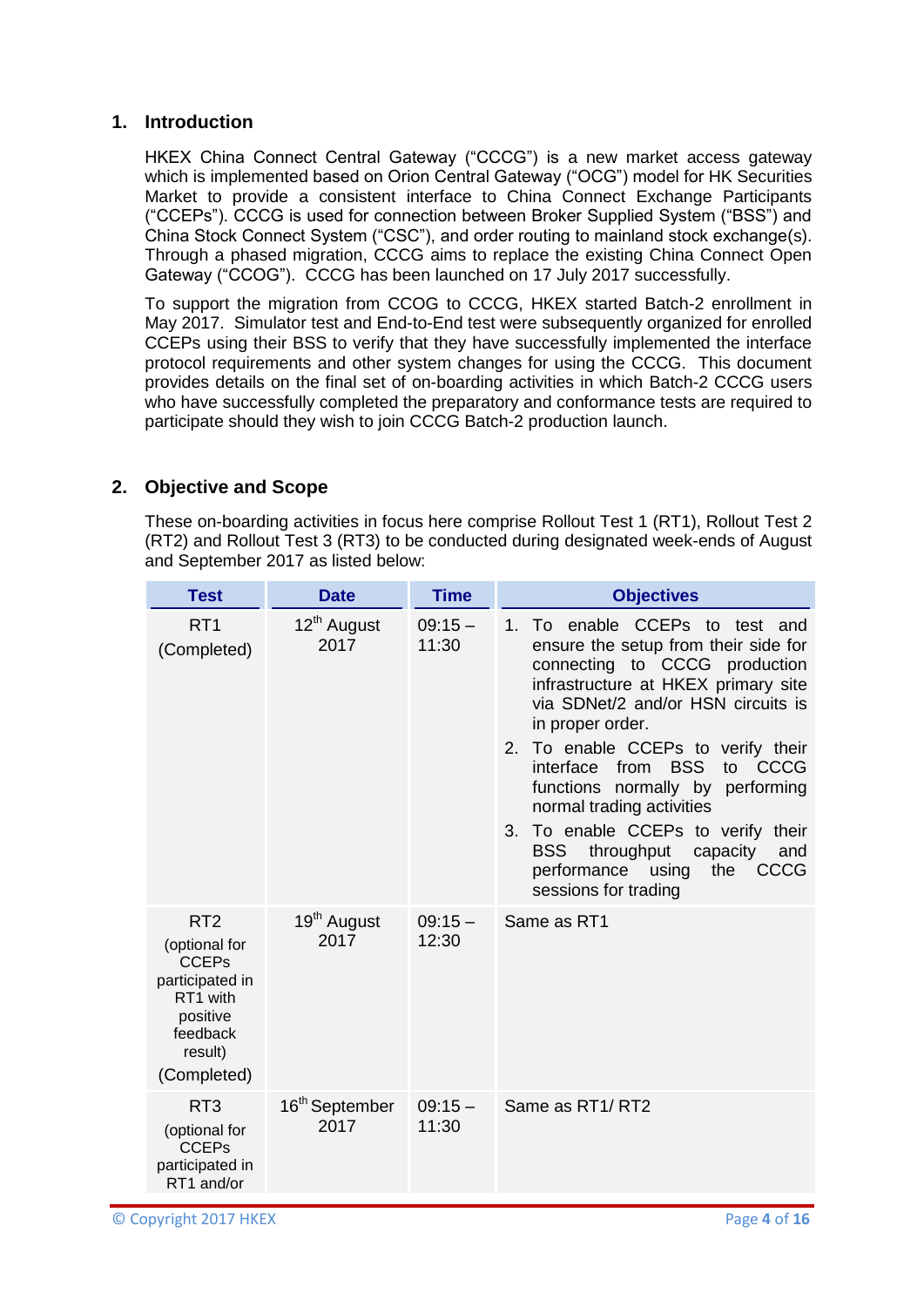### <span id="page-3-0"></span>**1. Introduction**

HKEX China Connect Central Gateway ("CCCG") is a new market access gateway which is implemented based on Orion Central Gateway ("OCG") model for HK Securities Market to provide a consistent interface to China Connect Exchange Participants ("CCEPs"). CCCG is used for connection between Broker Supplied System ("BSS") and China Stock Connect System ("CSC"), and order routing to mainland stock exchange(s). Through a phased migration, CCCG aims to replace the existing China Connect Open Gateway ("CCOG"). CCCG has been launched on 17 July 2017 successfully.

To support the migration from CCOG to CCCG, HKEX started Batch-2 enrollment in May 2017. Simulator test and End-to-End test were subsequently organized for enrolled CCEPs using their BSS to verify that they have successfully implemented the interface protocol requirements and other system changes for using the CCCG. This document provides details on the final set of on-boarding activities in which Batch-2 CCCG users who have successfully completed the preparatory and conformance tests are required to participate should they wish to join CCCG Batch-2 production launch.

## <span id="page-3-1"></span>**2. Objective and Scope**

These on-boarding activities in focus here comprise Rollout Test 1 (RT1), Rollout Test 2 (RT2) and Rollout Test 3 (RT3) to be conducted during designated week-ends of August and September 2017 as listed below:

| <b>Test</b>                                                                                                                       | <b>Date</b>                        | <b>Time</b>       | <b>Objectives</b>                                                                                                                                                                                                                                                                                                                                                                                                                                                                                              |  |
|-----------------------------------------------------------------------------------------------------------------------------------|------------------------------------|-------------------|----------------------------------------------------------------------------------------------------------------------------------------------------------------------------------------------------------------------------------------------------------------------------------------------------------------------------------------------------------------------------------------------------------------------------------------------------------------------------------------------------------------|--|
| RT <sub>1</sub><br>(Completed)                                                                                                    | 12 <sup>th</sup> August<br>2017    | $09:15-$<br>11:30 | 1. To enable CCEPs to test and<br>ensure the setup from their side for<br>connecting to CCCG production<br>infrastructure at HKEX primary site<br>via SDNet/2 and/or HSN circuits is<br>in proper order.<br>2. To enable CCEPs to verify their<br>from BSS<br>interface<br>CCCG<br>to<br>functions normally by performing<br>normal trading activities<br>3. To enable CCEPs to verify their<br><b>BSS</b><br>throughput<br>capacity<br>and<br>performance using<br>the<br><b>CCCG</b><br>sessions for trading |  |
| RT <sub>2</sub><br>(optional for<br><b>CCEPs</b><br>participated in<br>RT1 with<br>positive<br>feedback<br>result)<br>(Completed) | 19 <sup>th</sup> August<br>2017    | $09:15-$<br>12:30 | Same as RT1                                                                                                                                                                                                                                                                                                                                                                                                                                                                                                    |  |
| RT <sub>3</sub><br>(optional for<br><b>CCEPs</b><br>participated in<br>RT1 and/or                                                 | 16 <sup>th</sup> September<br>2017 | $09:15-$<br>11:30 | Same as RT1/RT2                                                                                                                                                                                                                                                                                                                                                                                                                                                                                                |  |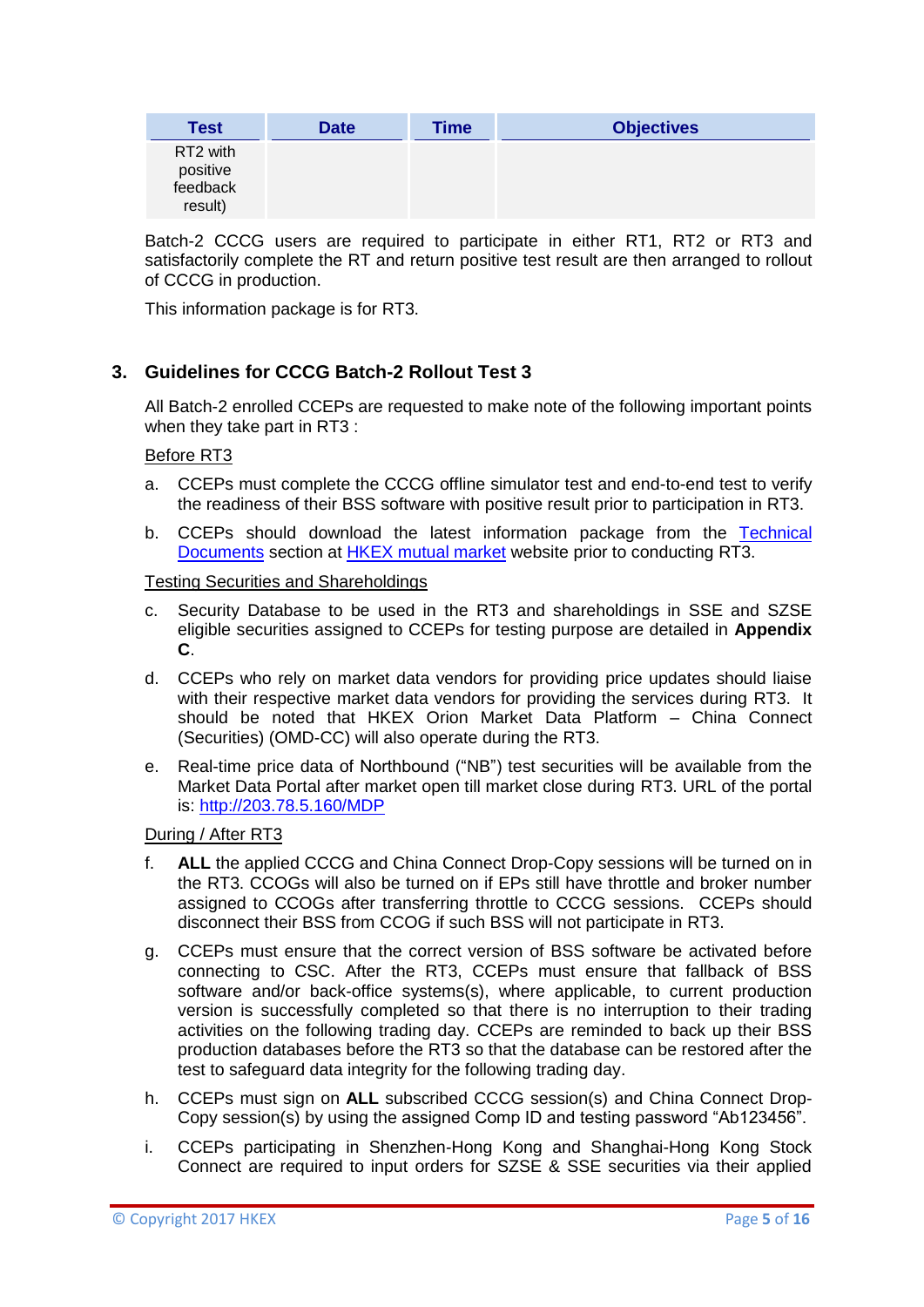| Test                                                    | <b>Date</b> | Time | <b>Objectives</b> |
|---------------------------------------------------------|-------------|------|-------------------|
| RT <sub>2</sub> with<br>positive<br>feedback<br>result) |             |      |                   |

Batch-2 CCCG users are required to participate in either RT1, RT2 or RT3 and satisfactorily complete the RT and return positive test result are then arranged to rollout of CCCG in production.

This information package is for RT3.

## <span id="page-4-0"></span>**3. Guidelines for CCCG Batch-2 Rollout Test 3**

All Batch-2 enrolled CCEPs are requested to make note of the following important points when they take part in RT3 :

### Before RT3

- a. CCEPs must complete the CCCG offline simulator test and end-to-end test to verify the readiness of their BSS software with positive result prior to participation in RT3.
- b. CCEPs should download the latest information package from the [Technical](http://www.hkex.com.hk/eng/csm/securities_technical_documents.htm)  [Documents](http://www.hkex.com.hk/eng/csm/securities_technical_documents.htm) section at [HKEX mutual market](http://www.hkex.com.hk/mutualmarket) website prior to conducting RT3.

### Testing Securities and Shareholdings

- c. Security Database to be used in the RT3 and shareholdings in SSE and SZSE eligible securities assigned to CCEPs for testing purpose are detailed in **Appendix C**.
- d. CCEPs who rely on market data vendors for providing price updates should liaise with their respective market data vendors for providing the services during RT3. It should be noted that HKEX Orion Market Data Platform – China Connect (Securities) (OMD-CC) will also operate during the RT3.
- e. Real-time price data of Northbound ("NB") test securities will be available from the Market Data Portal after market open till market close during RT3. URL of the portal is:<http://203.78.5.160/MDP>

### During / After RT3

- f. **ALL** the applied CCCG and China Connect Drop-Copy sessions will be turned on in the RT3. CCOGs will also be turned on if EPs still have throttle and broker number assigned to CCOGs after transferring throttle to CCCG sessions. CCEPs should disconnect their BSS from CCOG if such BSS will not participate in RT3.
- g. CCEPs must ensure that the correct version of BSS software be activated before connecting to CSC. After the RT3, CCEPs must ensure that fallback of BSS software and/or back-office systems(s), where applicable, to current production version is successfully completed so that there is no interruption to their trading activities on the following trading day. CCEPs are reminded to back up their BSS production databases before the RT3 so that the database can be restored after the test to safeguard data integrity for the following trading day.
- h. CCEPs must sign on **ALL** subscribed CCCG session(s) and China Connect Drop-Copy session(s) by using the assigned Comp ID and testing password "Ab123456".
- i. CCEPs participating in Shenzhen-Hong Kong and Shanghai-Hong Kong Stock Connect are required to input orders for SZSE & SSE securities via their applied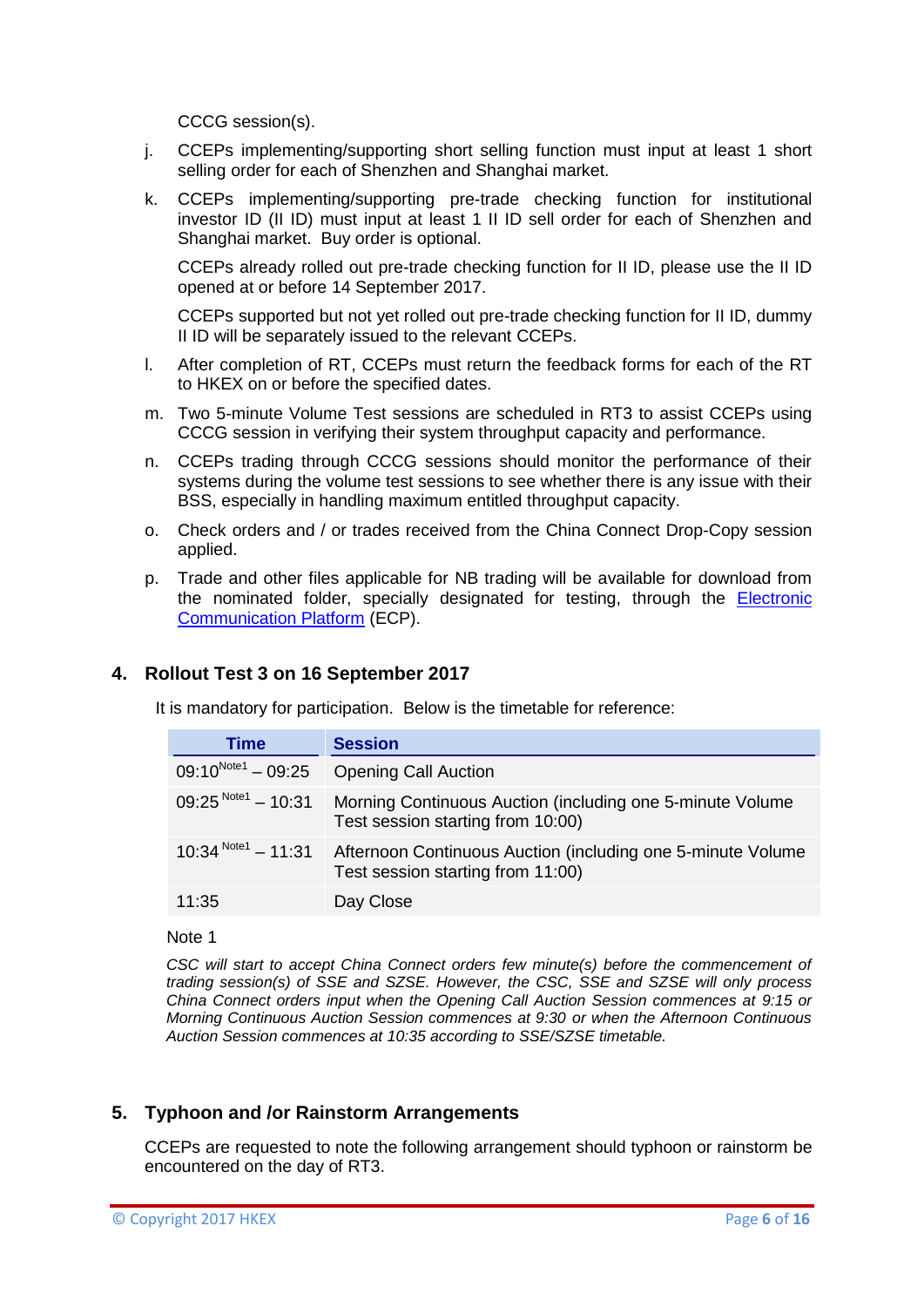CCCG session(s).

- j. CCEPs implementing/supporting short selling function must input at least 1 short selling order for each of Shenzhen and Shanghai market.
- k. CCEPs implementing/supporting pre-trade checking function for institutional investor ID (II ID) must input at least 1 II ID sell order for each of Shenzhen and Shanghai market. Buy order is optional.

CCEPs already rolled out pre-trade checking function for II ID, please use the II ID opened at or before 14 September 2017.

CCEPs supported but not yet rolled out pre-trade checking function for II ID, dummy II ID will be separately issued to the relevant CCEPs.

- l. After completion of RT, CCEPs must return the feedback forms for each of the RT to HKEX on or before the specified dates.
- m. Two 5-minute Volume Test sessions are scheduled in RT3 to assist CCEPs using CCCG session in verifying their system throughput capacity and performance.
- n. CCEPs trading through CCCG sessions should monitor the performance of their systems during the volume test sessions to see whether there is any issue with their BSS, especially in handling maximum entitled throughput capacity.
- o. Check orders and / or trades received from the China Connect Drop-Copy session applied.
- p. Trade and other files applicable for NB trading will be available for download from the nominated folder, specially designated for testing, through the [Electronic](https://www.ecp.hkex.com.hk/logon.aspx)  [Communication Platform](https://www.ecp.hkex.com.hk/logon.aspx) (ECP).

### <span id="page-5-0"></span>**4. Rollout Test 3 on 16 September 2017**

It is mandatory for participation. Below is the timetable for reference:

| Time                    | <b>Session</b>                                                                                   |
|-------------------------|--------------------------------------------------------------------------------------------------|
| $09:10^{Note1} - 09:25$ | <b>Opening Call Auction</b>                                                                      |
| $09:25^{Note1} - 10:31$ | Morning Continuous Auction (including one 5-minute Volume<br>Test session starting from 10:00)   |
| $10:34^{Note1} - 11:31$ | Afternoon Continuous Auction (including one 5-minute Volume<br>Test session starting from 11:00) |
| 11:35                   | Day Close                                                                                        |

#### Note 1

*CSC will start to accept China Connect orders few minute(s) before the commencement of trading session(s) of SSE and SZSE. However, the CSC, SSE and SZSE will only process China Connect orders input when the Opening Call Auction Session commences at 9:15 or Morning Continuous Auction Session commences at 9:30 or when the Afternoon Continuous Auction Session commences at 10:35 according to SSE/SZSE timetable.*

### <span id="page-5-1"></span>**5. Typhoon and /or Rainstorm Arrangements**

CCEPs are requested to note the following arrangement should typhoon or rainstorm be encountered on the day of RT3.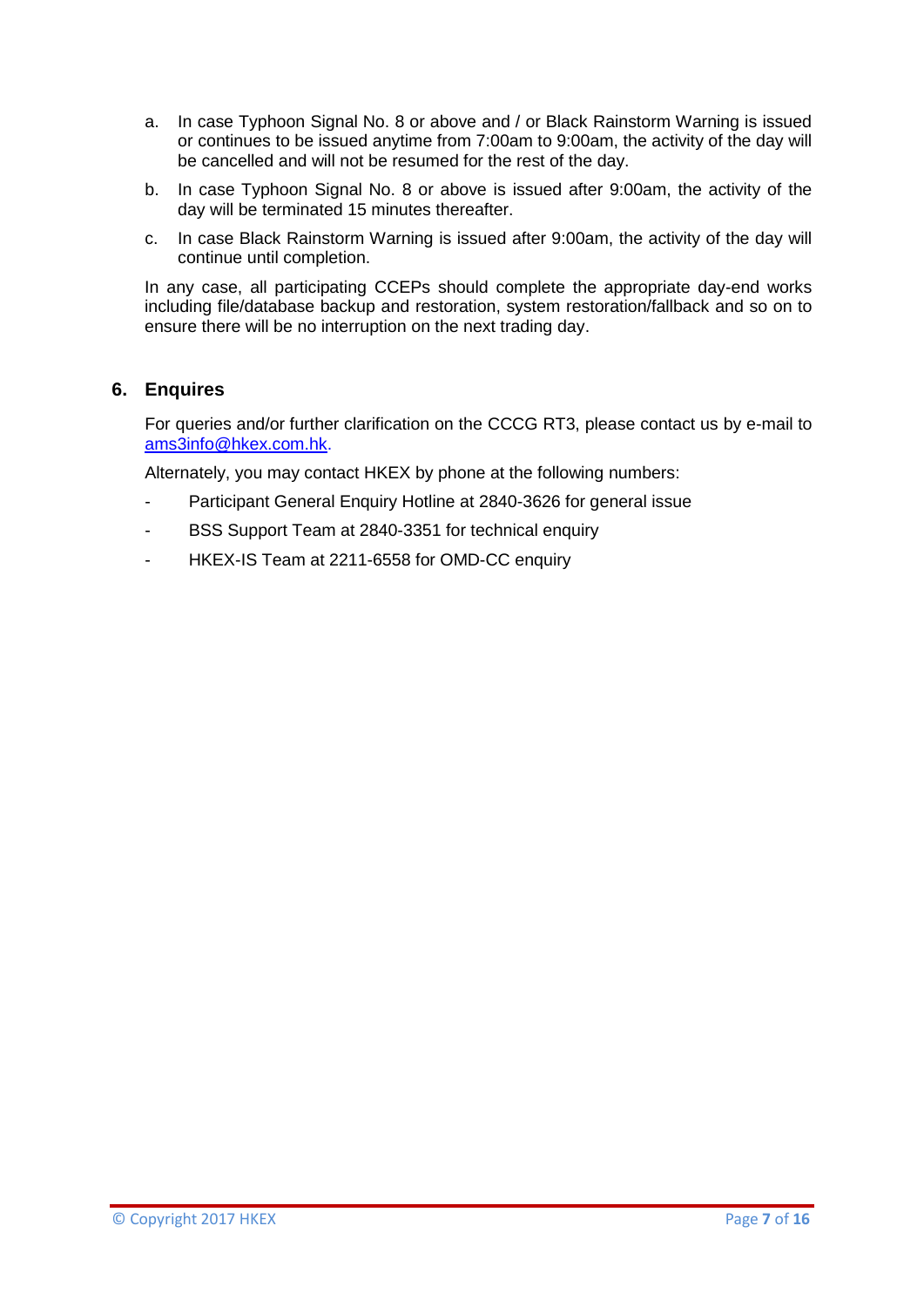- a. In case Typhoon Signal No. 8 or above and / or Black Rainstorm Warning is issued or continues to be issued anytime from 7:00am to 9:00am, the activity of the day will be cancelled and will not be resumed for the rest of the day.
- b. In case Typhoon Signal No. 8 or above is issued after 9:00am, the activity of the day will be terminated 15 minutes thereafter.
- c. In case Black Rainstorm Warning is issued after 9:00am, the activity of the day will continue until completion.

In any case, all participating CCEPs should complete the appropriate day-end works including file/database backup and restoration, system restoration/fallback and so on to ensure there will be no interruption on the next trading day.

## <span id="page-6-0"></span>**6. Enquires**

For queries and/or further clarification on the CCCG RT3, please contact us by e-mail to [ams3info@hkex.com.hk.](mailto:ams3info@hkex.com.hk)

Alternately, you may contact HKEX by phone at the following numbers:

- Participant General Enquiry Hotline at 2840-3626 for general issue
- BSS Support Team at 2840-3351 for technical enquiry
- HKEX-IS Team at 2211-6558 for OMD-CC enquiry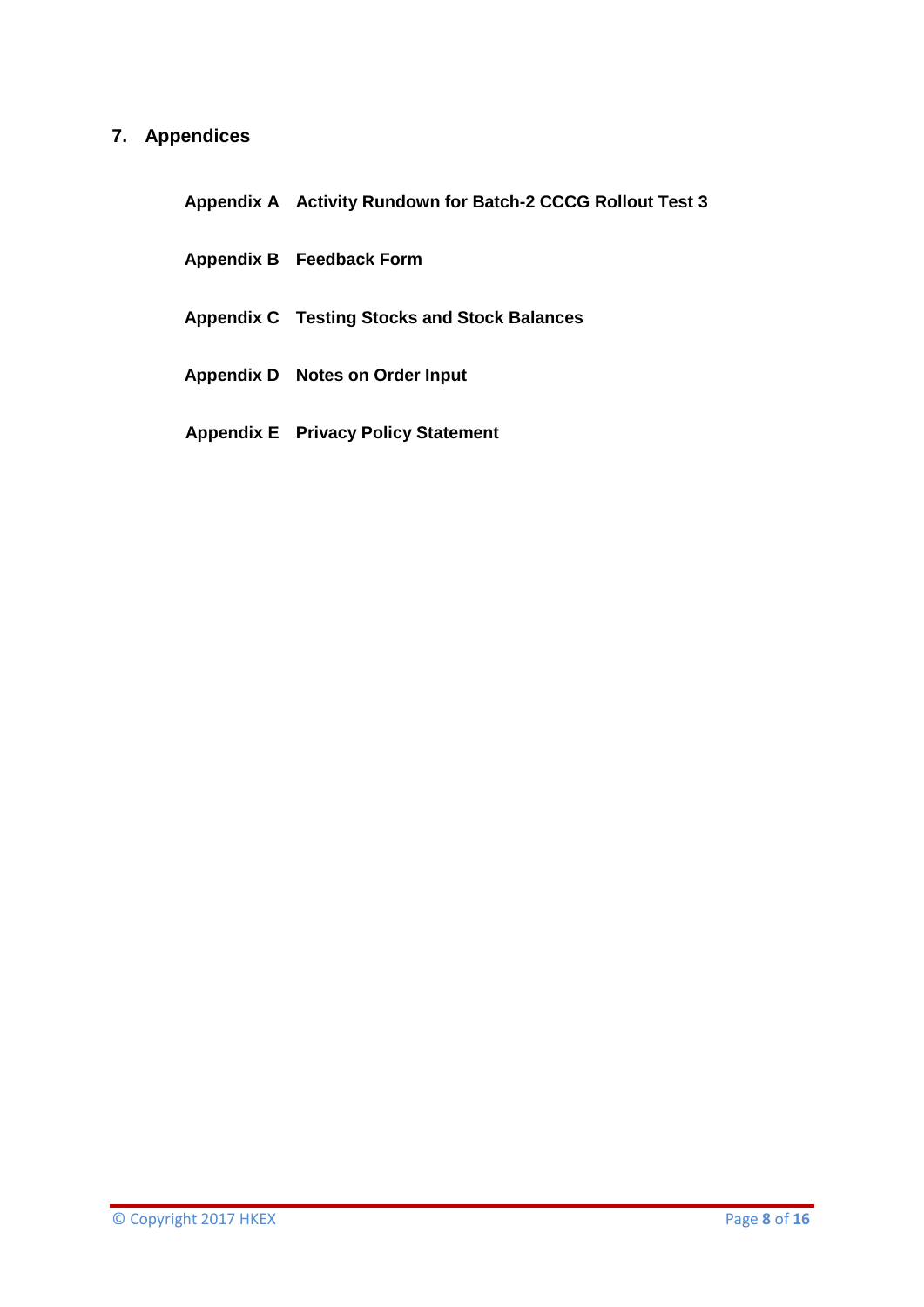# <span id="page-7-0"></span>**7. Appendices**

**Appendix A Activity Rundown for Batch-2 CCCG Rollout Test 3**

- **Appendix B Feedback Form**
- **Appendix C Testing Stocks and Stock Balances**
- **Appendix D Notes on Order Input**
- **Appendix E Privacy Policy Statement**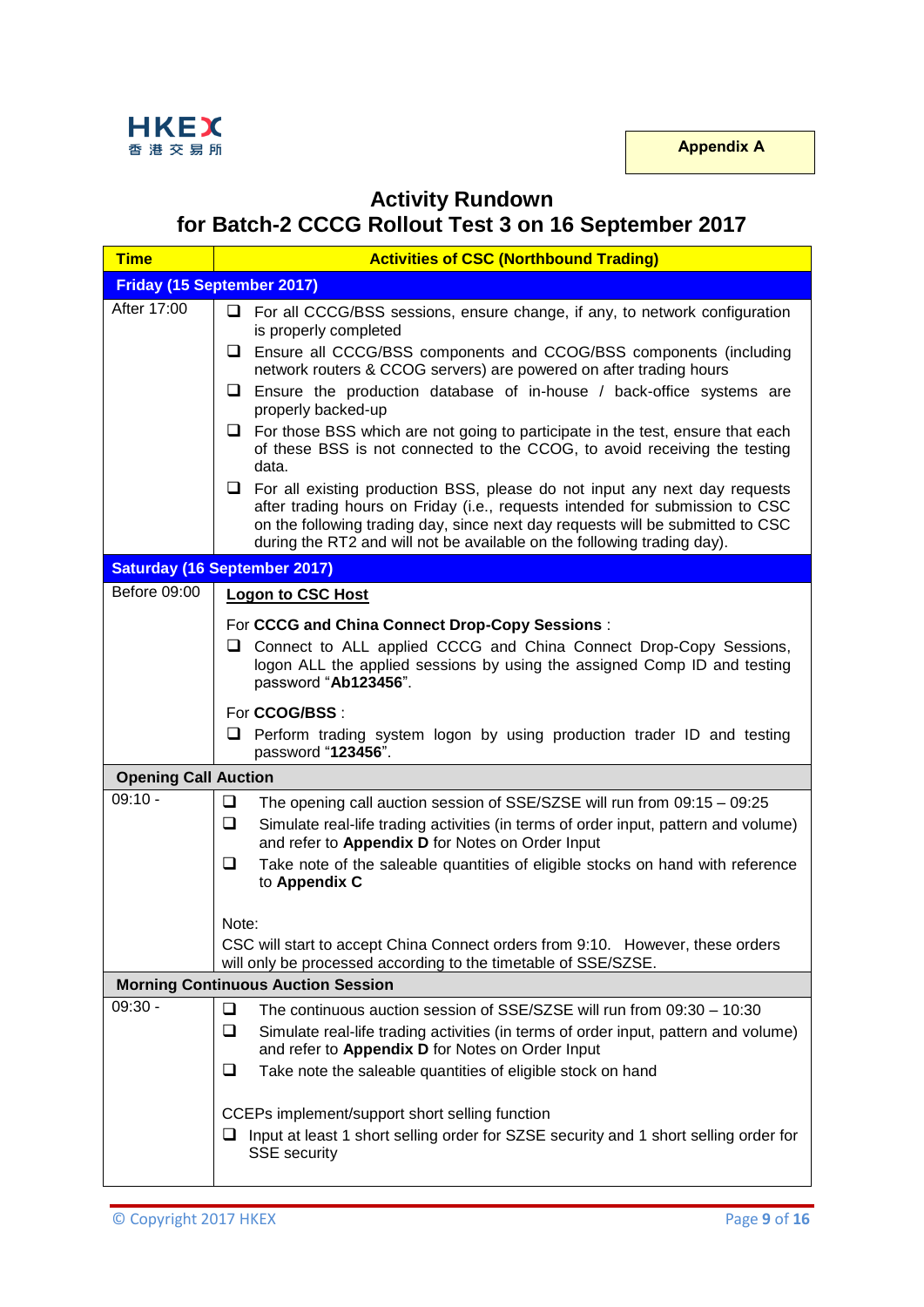

# **Activity Rundown for Batch-2 CCCG Rollout Test 3 on 16 September 2017**

| <b>Time</b>                               | <b>Activities of CSC (Northbound Trading)</b>                                                                                                                                                                                                                                                                                  |  |  |  |
|-------------------------------------------|--------------------------------------------------------------------------------------------------------------------------------------------------------------------------------------------------------------------------------------------------------------------------------------------------------------------------------|--|--|--|
|                                           | <b>Friday (15 September 2017)</b>                                                                                                                                                                                                                                                                                              |  |  |  |
| After 17:00                               | $\Box$ For all CCCG/BSS sessions, ensure change, if any, to network configuration<br>is properly completed                                                                                                                                                                                                                     |  |  |  |
|                                           | □ Ensure all CCCG/BSS components and CCOG/BSS components (including<br>network routers & CCOG servers) are powered on after trading hours                                                                                                                                                                                      |  |  |  |
|                                           | $\Box$ Ensure the production database of in-house / back-office systems are<br>properly backed-up                                                                                                                                                                                                                              |  |  |  |
|                                           | $\Box$ For those BSS which are not going to participate in the test, ensure that each<br>of these BSS is not connected to the CCOG, to avoid receiving the testing<br>data.                                                                                                                                                    |  |  |  |
|                                           | $\Box$ For all existing production BSS, please do not input any next day requests<br>after trading hours on Friday (i.e., requests intended for submission to CSC<br>on the following trading day, since next day requests will be submitted to CSC<br>during the RT2 and will not be available on the following trading day). |  |  |  |
|                                           | <b>Saturday (16 September 2017)</b>                                                                                                                                                                                                                                                                                            |  |  |  |
| Before 09:00                              | <b>Logon to CSC Host</b>                                                                                                                                                                                                                                                                                                       |  |  |  |
|                                           | For CCCG and China Connect Drop-Copy Sessions:                                                                                                                                                                                                                                                                                 |  |  |  |
|                                           | □ Connect to ALL applied CCCG and China Connect Drop-Copy Sessions,<br>logon ALL the applied sessions by using the assigned Comp ID and testing<br>password "Ab123456".                                                                                                                                                        |  |  |  |
|                                           | For CCOG/BSS :                                                                                                                                                                                                                                                                                                                 |  |  |  |
|                                           | $\Box$ Perform trading system logon by using production trader ID and testing<br>password "123456".                                                                                                                                                                                                                            |  |  |  |
| <b>Opening Call Auction</b>               |                                                                                                                                                                                                                                                                                                                                |  |  |  |
| $09:10 -$                                 | ❏<br>The opening call auction session of SSE/SZSE will run from 09:15 - 09:25                                                                                                                                                                                                                                                  |  |  |  |
|                                           | $\Box$<br>Simulate real-life trading activities (in terms of order input, pattern and volume)<br>and refer to Appendix D for Notes on Order Input                                                                                                                                                                              |  |  |  |
|                                           | $\Box$<br>Take note of the saleable quantities of eligible stocks on hand with reference<br>to Appendix C                                                                                                                                                                                                                      |  |  |  |
|                                           | Note:                                                                                                                                                                                                                                                                                                                          |  |  |  |
|                                           | CSC will start to accept China Connect orders from 9:10. However, these orders<br>will only be processed according to the timetable of SSE/SZSE.                                                                                                                                                                               |  |  |  |
| <b>Morning Continuous Auction Session</b> |                                                                                                                                                                                                                                                                                                                                |  |  |  |
| 09:30 -                                   | ❏<br>The continuous auction session of SSE/SZSE will run from 09:30 - 10:30<br>❏<br>Simulate real-life trading activities (in terms of order input, pattern and volume)<br>and refer to Appendix D for Notes on Order Input                                                                                                    |  |  |  |
|                                           | ❏<br>Take note the saleable quantities of eligible stock on hand                                                                                                                                                                                                                                                               |  |  |  |
|                                           | CCEPs implement/support short selling function<br>$\Box$ Input at least 1 short selling order for SZSE security and 1 short selling order for<br><b>SSE</b> security                                                                                                                                                           |  |  |  |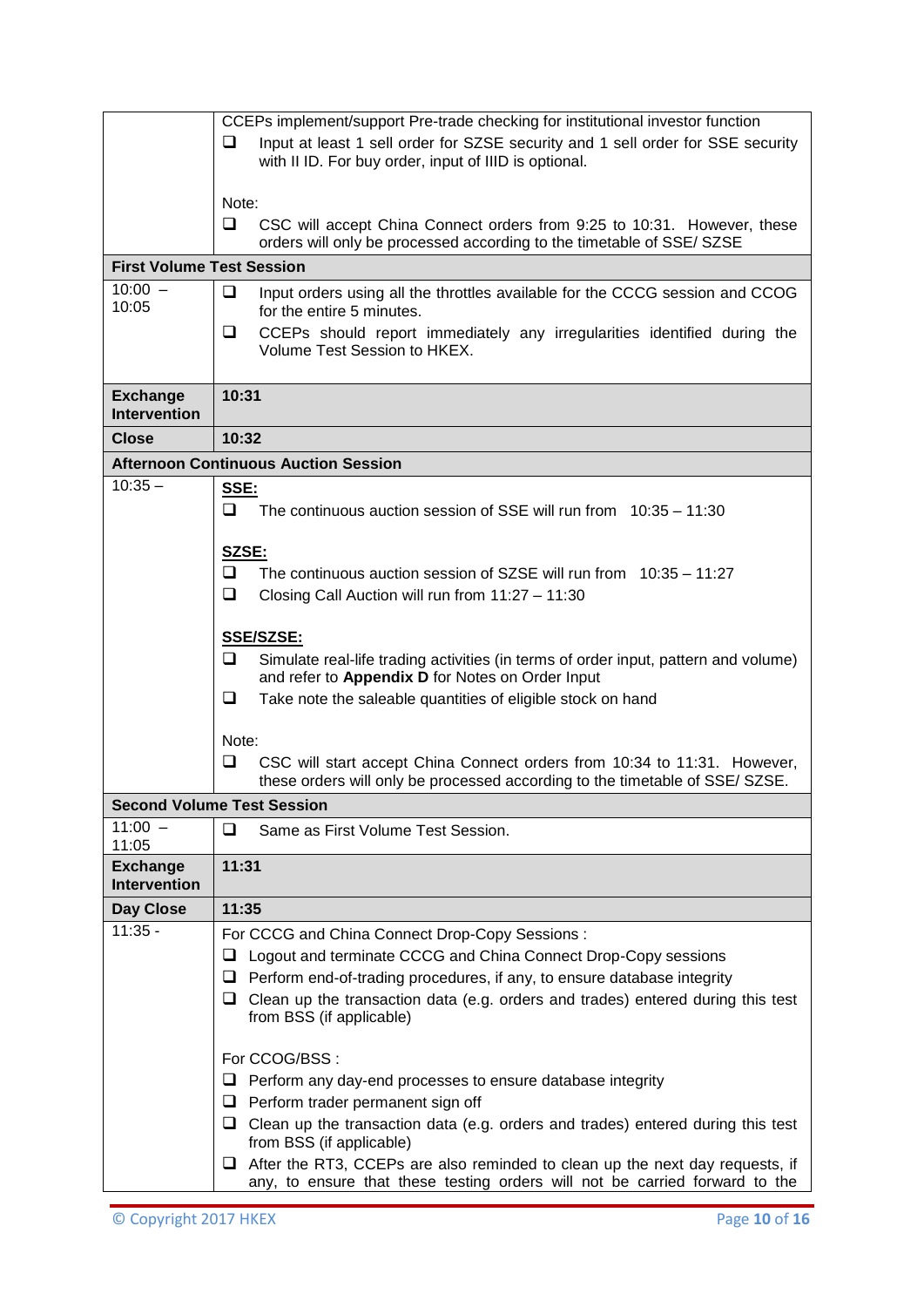|                                        | CCEPs implement/support Pre-trade checking for institutional investor function                                                                                     |  |  |
|----------------------------------------|--------------------------------------------------------------------------------------------------------------------------------------------------------------------|--|--|
|                                        | Input at least 1 sell order for SZSE security and 1 sell order for SSE security<br>⊔                                                                               |  |  |
|                                        | with II ID. For buy order, input of IIID is optional.                                                                                                              |  |  |
|                                        |                                                                                                                                                                    |  |  |
|                                        | Note:                                                                                                                                                              |  |  |
|                                        | ❏<br>CSC will accept China Connect orders from 9:25 to 10:31. However, these                                                                                       |  |  |
|                                        | orders will only be processed according to the timetable of SSE/ SZSE                                                                                              |  |  |
| <b>First Volume Test Session</b>       |                                                                                                                                                                    |  |  |
| $10:00 -$                              | ❏<br>Input orders using all the throttles available for the CCCG session and CCOG                                                                                  |  |  |
| 10:05                                  | for the entire 5 minutes.                                                                                                                                          |  |  |
|                                        | ⊔<br>CCEPs should report immediately any irregularities identified during the                                                                                      |  |  |
|                                        | Volume Test Session to HKEX.                                                                                                                                       |  |  |
|                                        |                                                                                                                                                                    |  |  |
| <b>Exchange</b><br><b>Intervention</b> | 10:31                                                                                                                                                              |  |  |
| <b>Close</b>                           | 10:32                                                                                                                                                              |  |  |
|                                        | <b>Afternoon Continuous Auction Session</b>                                                                                                                        |  |  |
| $10:35 -$                              | SSE:                                                                                                                                                               |  |  |
|                                        | $\Box$<br>The continuous auction session of SSE will run from $10:35 - 11:30$                                                                                      |  |  |
|                                        |                                                                                                                                                                    |  |  |
|                                        | SZSE:                                                                                                                                                              |  |  |
|                                        | $\Box$<br>The continuous auction session of SZSE will run from $10:35 - 11:27$                                                                                     |  |  |
|                                        | ❏<br>Closing Call Auction will run from 11:27 - 11:30                                                                                                              |  |  |
|                                        |                                                                                                                                                                    |  |  |
|                                        | <b>SSE/SZSE:</b>                                                                                                                                                   |  |  |
|                                        | ⊔<br>Simulate real-life trading activities (in terms of order input, pattern and volume)<br>and refer to Appendix D for Notes on Order Input                       |  |  |
|                                        | ❏<br>Take note the saleable quantities of eligible stock on hand                                                                                                   |  |  |
|                                        |                                                                                                                                                                    |  |  |
|                                        | Note:                                                                                                                                                              |  |  |
|                                        | ❏<br>CSC will start accept China Connect orders from 10:34 to 11:31. However,                                                                                      |  |  |
|                                        | these orders will only be processed according to the timetable of SSE/ SZSE.                                                                                       |  |  |
|                                        | <b>Second Volume Test Session</b>                                                                                                                                  |  |  |
| $11:00 -$                              | Same as First Volume Test Session.<br>⊔                                                                                                                            |  |  |
| 11:05                                  |                                                                                                                                                                    |  |  |
| <b>Exchange</b><br><b>Intervention</b> | 11:31                                                                                                                                                              |  |  |
| <b>Day Close</b>                       | 11:35                                                                                                                                                              |  |  |
| $11:35 -$                              | For CCCG and China Connect Drop-Copy Sessions:                                                                                                                     |  |  |
|                                        | Logout and terminate CCCG and China Connect Drop-Copy sessions<br>⊔                                                                                                |  |  |
|                                        | $\Box$ Perform end-of-trading procedures, if any, to ensure database integrity                                                                                     |  |  |
|                                        | $\Box$ Clean up the transaction data (e.g. orders and trades) entered during this test                                                                             |  |  |
|                                        | from BSS (if applicable)                                                                                                                                           |  |  |
|                                        |                                                                                                                                                                    |  |  |
|                                        | For CCOG/BSS:                                                                                                                                                      |  |  |
|                                        | Perform any day-end processes to ensure database integrity<br>⊔                                                                                                    |  |  |
|                                        | $\Box$ Perform trader permanent sign off                                                                                                                           |  |  |
|                                        | $\Box$ Clean up the transaction data (e.g. orders and trades) entered during this test                                                                             |  |  |
|                                        | from BSS (if applicable)                                                                                                                                           |  |  |
|                                        | $\Box$ After the RT3, CCEPs are also reminded to clean up the next day requests, if<br>any, to ensure that these testing orders will not be carried forward to the |  |  |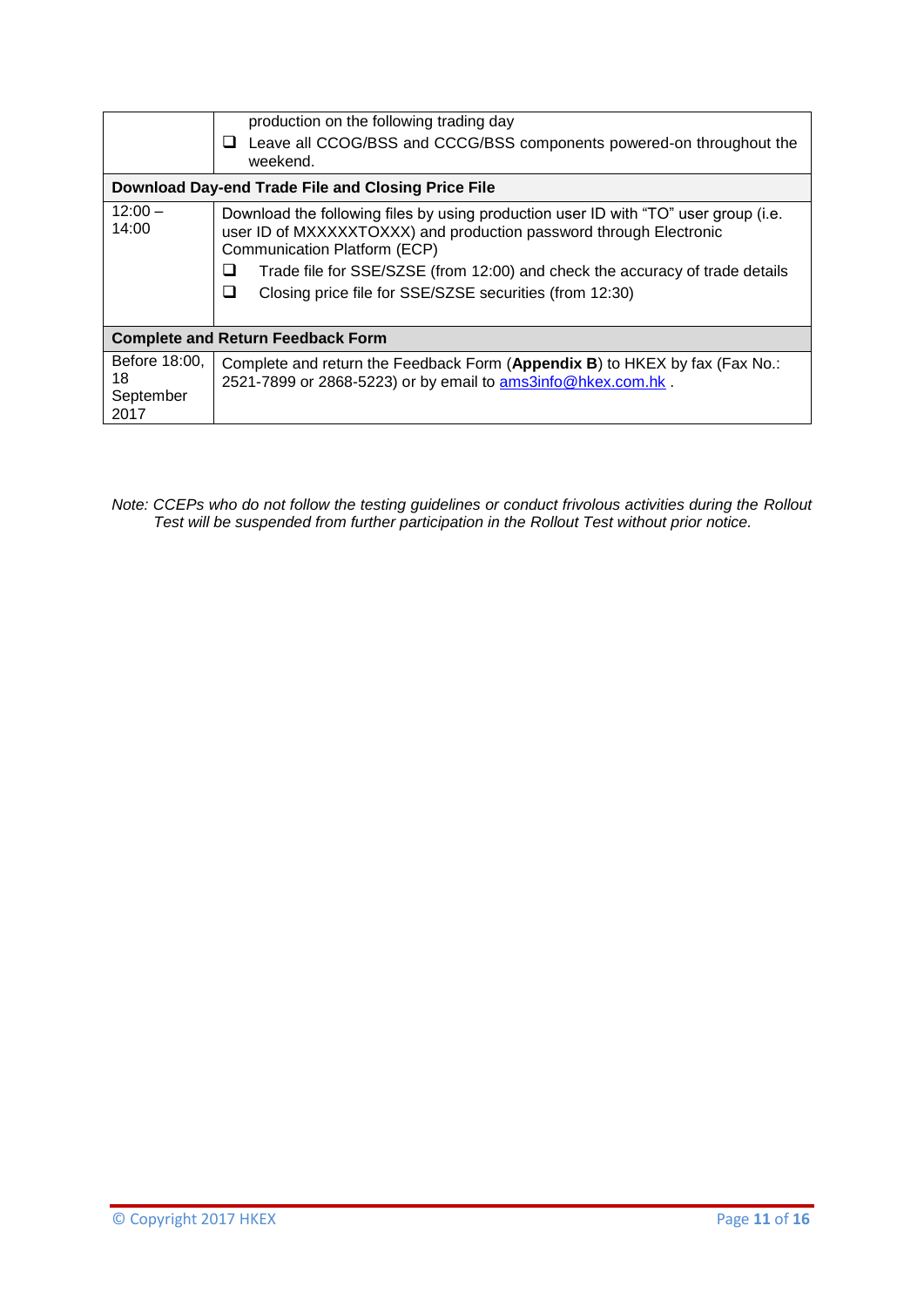|                                          | production on the following trading day<br>Leave all CCOG/BSS and CCCG/BSS components powered-on throughout the<br>weekend.                                                                                                                                                                                                          |
|------------------------------------------|--------------------------------------------------------------------------------------------------------------------------------------------------------------------------------------------------------------------------------------------------------------------------------------------------------------------------------------|
|                                          | Download Day-end Trade File and Closing Price File                                                                                                                                                                                                                                                                                   |
| $12:00 -$<br>14:00                       | Download the following files by using production user ID with "TO" user group (i.e.<br>user ID of MXXXXXTOXXX) and production password through Electronic<br>Communication Platform (ECP)<br>Trade file for SSE/SZSE (from 12:00) and check the accuracy of trade details<br>Closing price file for SSE/SZSE securities (from 12:30) |
|                                          | <b>Complete and Return Feedback Form</b>                                                                                                                                                                                                                                                                                             |
| Before 18:00.<br>18<br>September<br>2017 | Complete and return the Feedback Form (Appendix B) to HKEX by fax (Fax No.:<br>2521-7899 or 2868-5223) or by email to ams3info@hkex.com.hk.                                                                                                                                                                                          |

*Note: CCEPs who do not follow the testing guidelines or conduct frivolous activities during the Rollout Test will be suspended from further participation in the Rollout Test without prior notice.*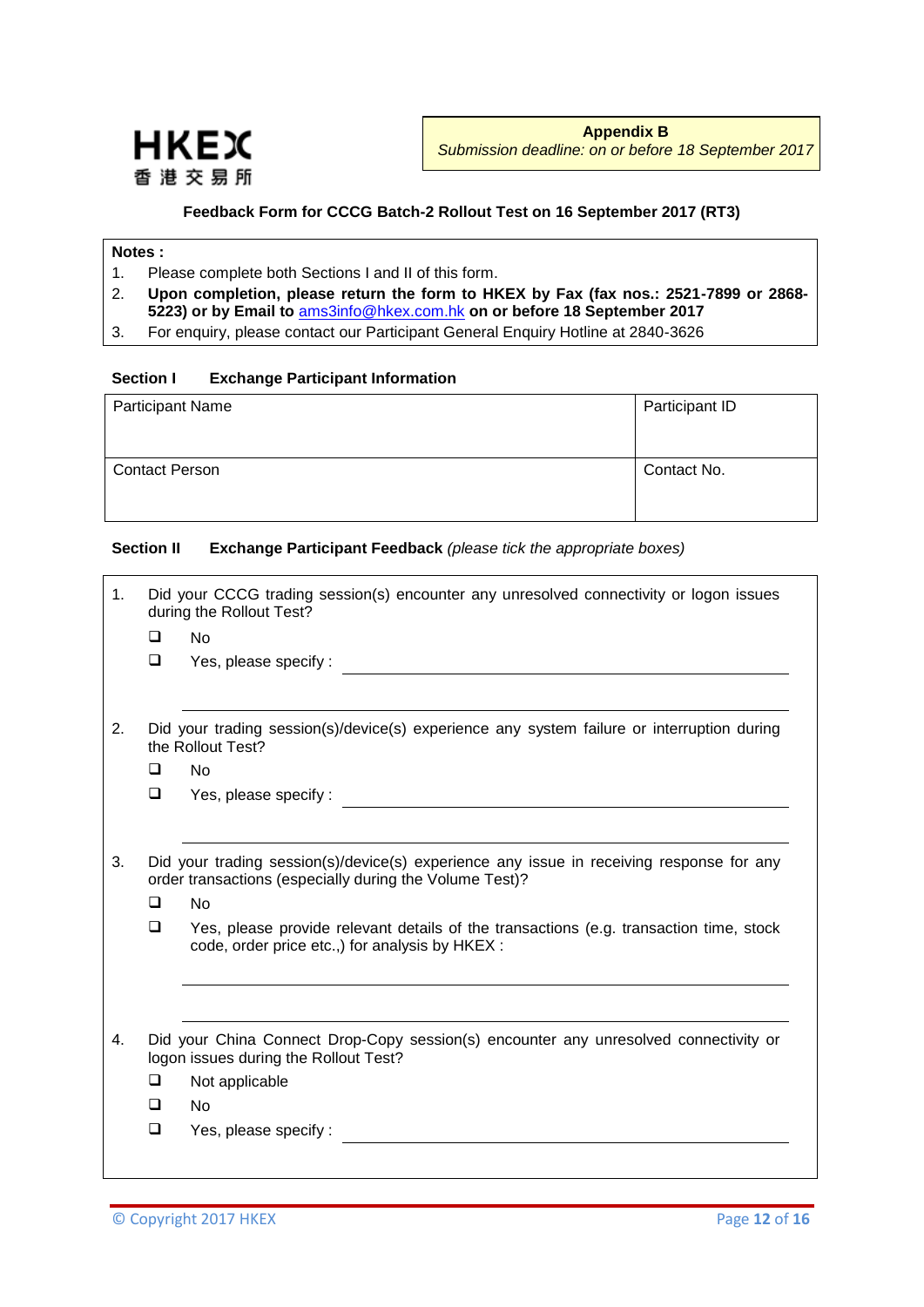

#### **Feedback Form for CCCG Batch-2 Rollout Test on 16 September 2017 (RT3)**

### **Notes :**

- 1. Please complete both Sections I and II of this form.
- 2. **Upon completion, please return the form to HKEX by Fax (fax nos.: 2521-7899 or 2868- 5223) or by Email to** [ams3info@hkex.com.hk](mailto:OrionCentralGateway@hkex.com.hk) **on or before 18 September 2017**
- 3. For enquiry, please contact our Participant General Enquiry Hotline at 2840-3626

#### **Section I Exchange Participant Information**

| <b>Participant Name</b> | Participant ID |
|-------------------------|----------------|
| <b>Contact Person</b>   | Contact No.    |

#### **Section II Exchange Participant Feedback** *(please tick the appropriate boxes)*

| <b>No</b><br>Yes, please specify:<br>Did your trading session(s)/device(s) experience any system failure or interruption during<br>the Rollout Test?<br><b>No</b><br>Yes, please specify: |
|-------------------------------------------------------------------------------------------------------------------------------------------------------------------------------------------|
|                                                                                                                                                                                           |
|                                                                                                                                                                                           |
|                                                                                                                                                                                           |
|                                                                                                                                                                                           |
|                                                                                                                                                                                           |
| Did your trading session(s)/device(s) experience any issue in receiving response for any<br>order transactions (especially during the Volume Test)?                                       |
| <b>No</b>                                                                                                                                                                                 |
| Yes, please provide relevant details of the transactions (e.g. transaction time, stock<br>code, order price etc.,) for analysis by HKEX :                                                 |
|                                                                                                                                                                                           |
| Did your China Connect Drop-Copy session(s) encounter any unresolved connectivity or<br>logon issues during the Rollout Test?                                                             |
| Not applicable                                                                                                                                                                            |
|                                                                                                                                                                                           |
| <b>No</b>                                                                                                                                                                                 |
|                                                                                                                                                                                           |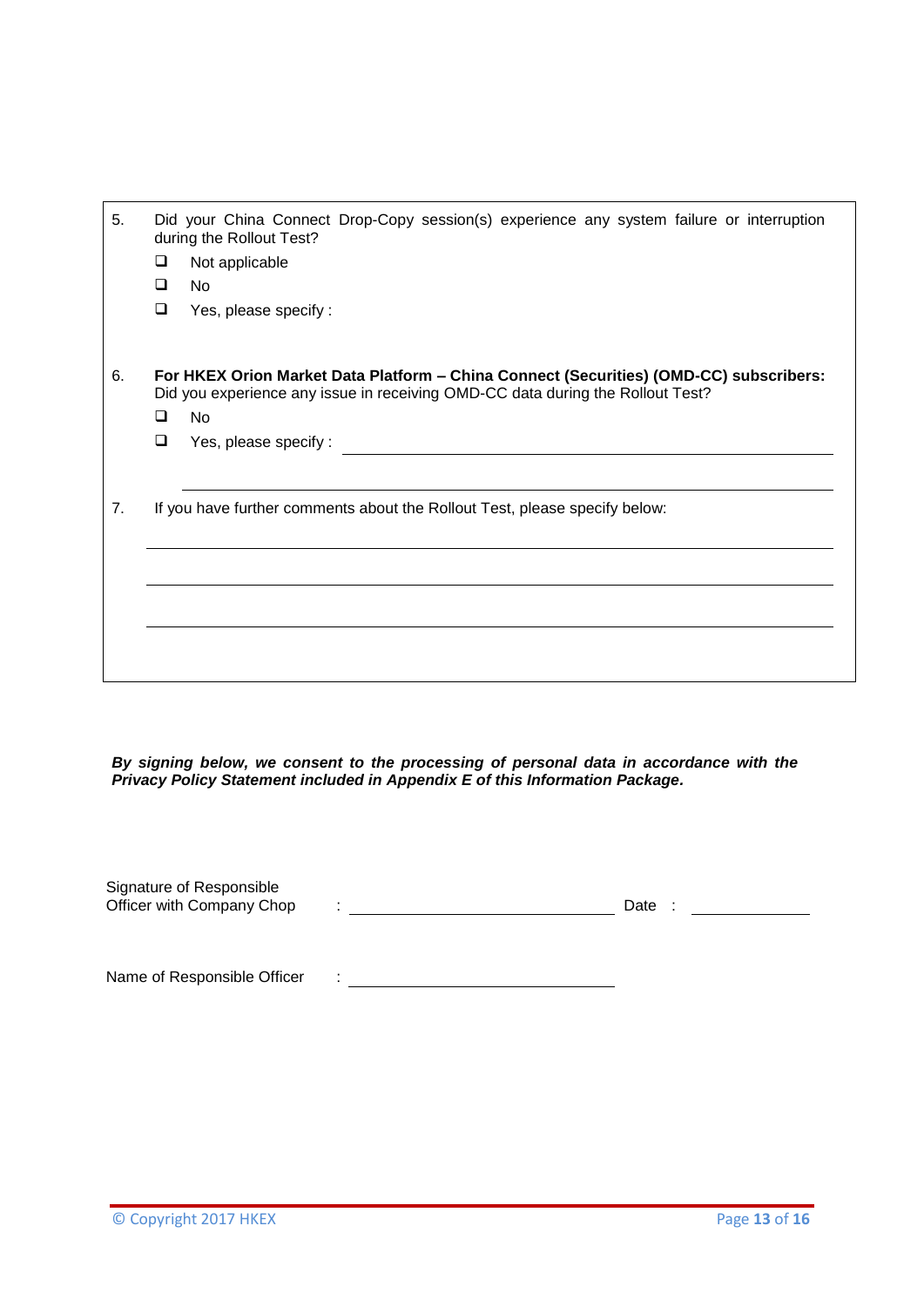| 5. | Did your China Connect Drop-Copy session(s) experience any system failure or interruption<br>during the Rollout Test?<br>❏<br>Not applicable                             |
|----|--------------------------------------------------------------------------------------------------------------------------------------------------------------------------|
|    | <b>No</b><br>◻                                                                                                                                                           |
|    | ❏<br>Yes, please specify:                                                                                                                                                |
| 6. | For HKEX Orion Market Data Platform - China Connect (Securities) (OMD-CC) subscribers:<br>Did you experience any issue in receiving OMD-CC data during the Rollout Test? |
|    | <b>No</b><br>◻                                                                                                                                                           |
|    | ❏<br>Yes, please specify:                                                                                                                                                |
|    |                                                                                                                                                                          |
| 7. | If you have further comments about the Rollout Test, please specify below:                                                                                               |
|    |                                                                                                                                                                          |
|    |                                                                                                                                                                          |
|    |                                                                                                                                                                          |
|    |                                                                                                                                                                          |
|    |                                                                                                                                                                          |
|    |                                                                                                                                                                          |
|    |                                                                                                                                                                          |

*By signing below, we consent to the processing of personal data in accordance with the Privacy Policy Statement included in Appendix E of this Information Package.*

| Signature of Responsible<br>Officer with Company Chop | $\bullet$ | Date |
|-------------------------------------------------------|-----------|------|
|                                                       |           |      |
| Name of Responsible Officer                           | ٠.        |      |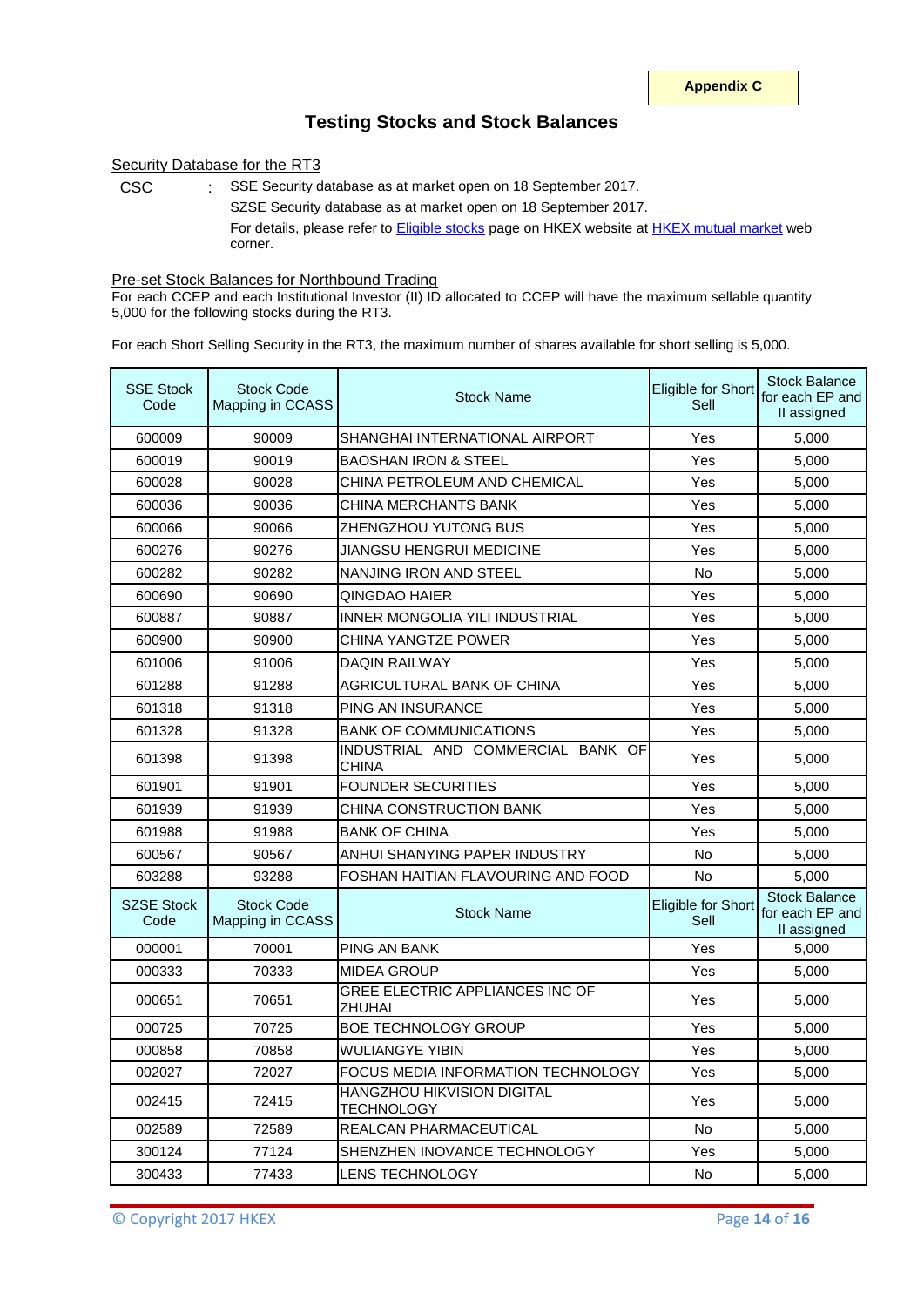### **Testing Stocks and Stock Balances**

#### Security Database for the RT3

CSC : SSE Security database as at market open on 18 September 2017. SZSE Security database as at market open on 18 September 2017. For details, please refer to **Eligible stocks** page on HKEX website at **HKEX mutual market** web corner.

Pre-set Stock Balances for Northbound Trading

For each CCEP and each Institutional Investor (II) ID allocated to CCEP will have the maximum sellable quantity 5,000 for the following stocks during the RT3.

For each Short Selling Security in the RT3, the maximum number of shares available for short selling is 5,000.

| <b>SSE Stock</b><br>Code  | <b>Stock Code</b><br>Mapping in CCASS | <b>Stock Name</b>                                 | Eligible for Short<br>Sell | <b>Stock Balance</b><br>for each EP and<br>II assigned |
|---------------------------|---------------------------------------|---------------------------------------------------|----------------------------|--------------------------------------------------------|
| 600009                    | 90009                                 | SHANGHAI INTERNATIONAL AIRPORT                    | Yes                        | 5,000                                                  |
| 600019                    | 90019                                 | <b>BAOSHAN IRON &amp; STEEL</b>                   | Yes                        | 5,000                                                  |
| 600028                    | 90028                                 | CHINA PETROLEUM AND CHEMICAL                      | Yes                        | 5,000                                                  |
| 600036                    | 90036                                 | CHINA MERCHANTS BANK                              | Yes                        | 5,000                                                  |
| 600066                    | 90066                                 | ZHENGZHOU YUTONG BUS                              | Yes                        | 5.000                                                  |
| 600276                    | 90276                                 | JIANGSU HENGRUI MEDICINE                          | Yes                        | 5,000                                                  |
| 600282                    | 90282                                 | NANJING IRON AND STEEL                            | No                         | 5,000                                                  |
| 600690                    | 90690                                 | QINGDAO HAIER                                     | Yes                        | 5,000                                                  |
| 600887                    | 90887                                 | INNER MONGOLIA YILI INDUSTRIAL                    | Yes                        | 5,000                                                  |
| 600900                    | 90900                                 | CHINA YANGTZE POWER                               | Yes                        | 5,000                                                  |
| 601006                    | 91006                                 | <b>DAQIN RAILWAY</b>                              | Yes                        | 5,000                                                  |
| 601288                    | 91288                                 | AGRICULTURAL BANK OF CHINA                        | Yes                        | 5,000                                                  |
| 601318                    | 91318                                 | PING AN INSURANCE                                 | Yes                        | 5,000                                                  |
| 601328                    | 91328                                 | <b>BANK OF COMMUNICATIONS</b>                     | Yes                        | 5,000                                                  |
| 601398                    | 91398                                 | INDUSTRIAL AND COMMERCIAL BANK OF<br><b>CHINA</b> | Yes                        | 5,000                                                  |
| 601901                    | 91901                                 | <b>FOUNDER SECURITIES</b>                         | Yes                        | 5,000                                                  |
| 601939                    | 91939                                 | CHINA CONSTRUCTION BANK                           | Yes                        | 5,000                                                  |
| 601988                    | 91988                                 | <b>BANK OF CHINA</b>                              | Yes                        | 5,000                                                  |
| 600567                    | 90567                                 | ANHUI SHANYING PAPER INDUSTRY                     | <b>No</b>                  | 5,000                                                  |
| 603288                    | 93288                                 | FOSHAN HAITIAN FLAVOURING AND FOOD                | <b>No</b>                  | 5,000                                                  |
| <b>SZSE Stock</b><br>Code | <b>Stock Code</b><br>Mapping in CCASS | <b>Stock Name</b>                                 | Eligible for Short<br>Sell | <b>Stock Balance</b><br>for each EP and<br>II assigned |
| 000001                    | 70001                                 | <b>PING AN BANK</b>                               | Yes                        | 5,000                                                  |
| 000333                    | 70333                                 | <b>MIDEA GROUP</b>                                | Yes                        | 5,000                                                  |
| 000651                    | 70651                                 | GREE ELECTRIC APPLIANCES INC OF<br><b>ZHUHAI</b>  | Yes                        | 5,000                                                  |
| 000725                    | 70725                                 | <b>BOE TECHNOLOGY GROUP</b>                       | Yes                        | 5,000                                                  |
| 000858                    | 70858                                 | WULIANGYE YIBIN                                   | Yes                        | 5,000                                                  |
| 002027                    | 72027                                 | FOCUS MEDIA INFORMATION TECHNOLOGY                | Yes                        | 5,000                                                  |
| 002415                    | 72415                                 | HANGZHOU HIKVISION DIGITAL<br><b>TECHNOLOGY</b>   | Yes                        | 5,000                                                  |
| 002589                    | 72589                                 | REALCAN PHARMACEUTICAL                            | No                         | 5,000                                                  |
| 300124                    | 77124                                 | SHENZHEN INOVANCE TECHNOLOGY                      | Yes                        | 5,000                                                  |
| 300433                    | 77433                                 | <b>LENS TECHNOLOGY</b>                            | No                         | 5,000                                                  |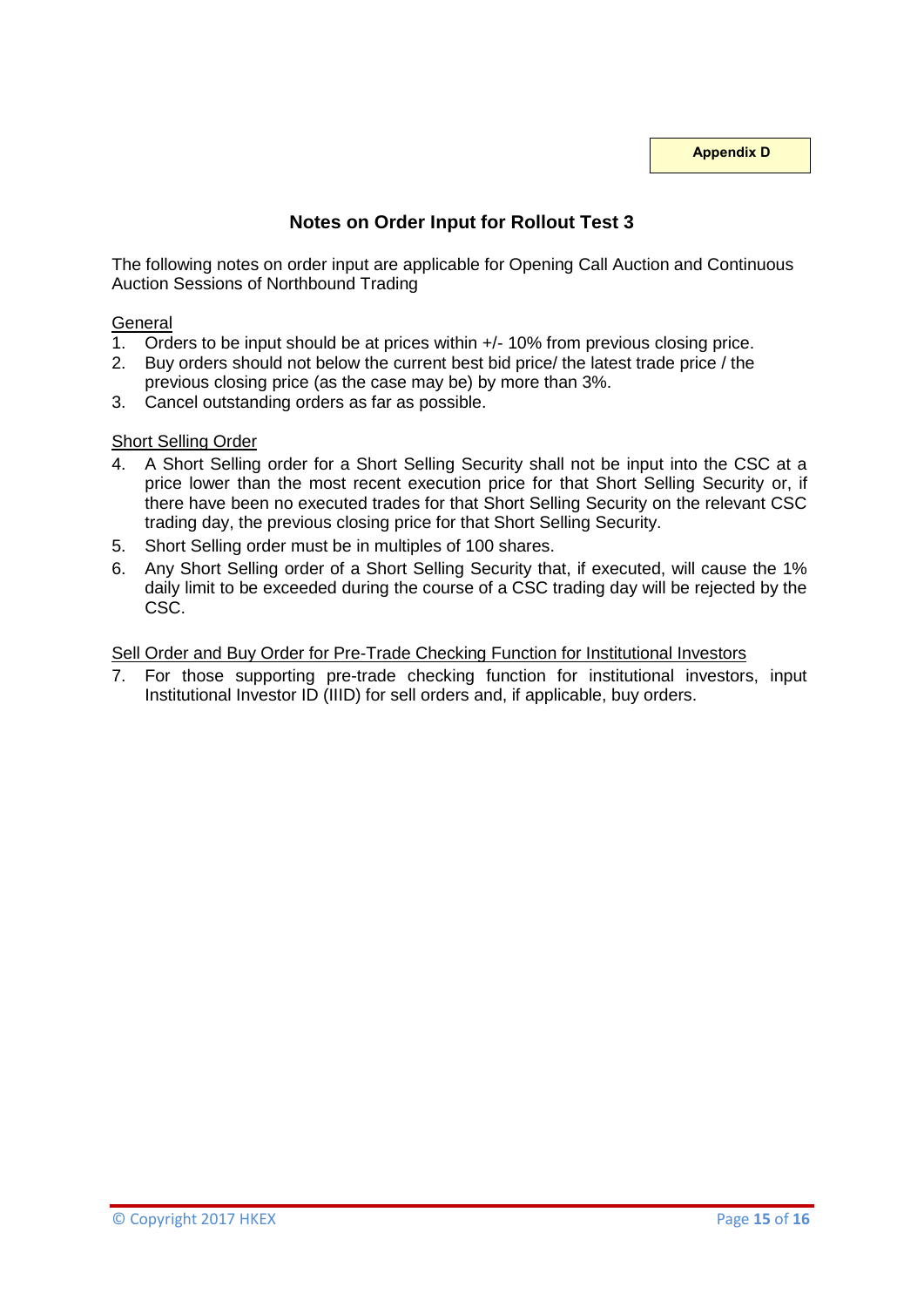**Appendix D**

# **Notes on Order Input for Rollout Test 3**

The following notes on order input are applicable for Opening Call Auction and Continuous Auction Sessions of Northbound Trading

### **General**

- 1. Orders to be input should be at prices within +/- 10% from previous closing price.
- 2. Buy orders should not below the current best bid price/ the latest trade price / the previous closing price (as the case may be) by more than 3%.
- 3. Cancel outstanding orders as far as possible.

#### Short Selling Order

- 4. A Short Selling order for a Short Selling Security shall not be input into the CSC at a price lower than the most recent execution price for that Short Selling Security or, if there have been no executed trades for that Short Selling Security on the relevant CSC trading day, the previous closing price for that Short Selling Security.
- 5. Short Selling order must be in multiples of 100 shares.
- 6. Any Short Selling order of a Short Selling Security that, if executed, will cause the 1% daily limit to be exceeded during the course of a CSC trading day will be rejected by the CSC.

#### Sell Order and Buy Order for Pre-Trade Checking Function for Institutional Investors

7. For those supporting pre-trade checking function for institutional investors, input Institutional Investor ID (IIID) for sell orders and, if applicable, buy orders.